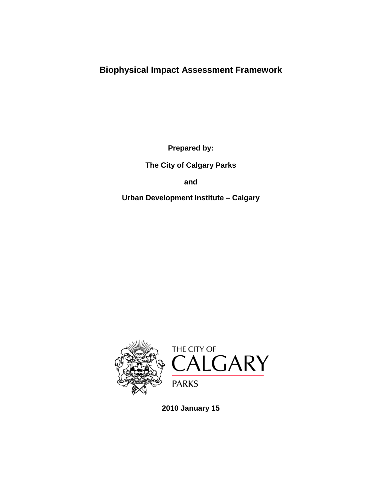**Biophysical Impact Assessment Framework** 

**Prepared by:**

**The City of Calgary Parks** 

**and** 

**Urban Development Institute – Calgary**



**2010 January 15**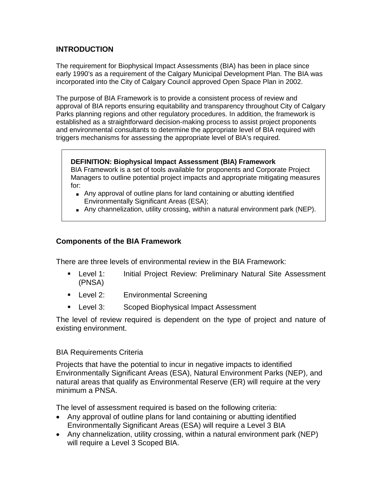# **INTRODUCTION**

The requirement for Biophysical Impact Assessments (BIA) has been in place since early 1990's as a requirement of the Calgary Municipal Development Plan. The BIA was incorporated into the City of Calgary Council approved Open Space Plan in 2002.

The purpose of BIA Framework is to provide a consistent process of review and approval of BIA reports ensuring equitability and transparency throughout City of Calgary Parks planning regions and other regulatory procedures. In addition, the framework is established as a straightforward decision-making process to assist project proponents and environmental consultants to determine the appropriate level of BIA required with triggers mechanisms for assessing the appropriate level of BIA's required.

### **DEFINITION: Biophysical Impact Assessment (BIA) Framework**

BIA Framework is a set of tools available for proponents and Corporate Project Managers to outline potential project impacts and appropriate mitigating measures for:

- Any approval of outline plans for land containing or abutting identified Environmentally Significant Areas (ESA);
- Any channelization, utility crossing, within a natural environment park (NEP).

## **Components of the BIA Framework**

There are three levels of environmental review in the BIA Framework:

- **EXECTE:** Initial Project Review: Preliminary Natural Site Assessment (PNSA)
- **Level 2:** Environmental Screening
- **EXECTE:** Scoped Biophysical Impact Assessment

The level of review required is dependent on the type of project and nature of existing environment.

### BIA Requirements Criteria

Projects that have the potential to incur in negative impacts to identified Environmentally Significant Areas (ESA), Natural Environment Parks (NEP), and natural areas that qualify as Environmental Reserve (ER) will require at the very minimum a PNSA.

The level of assessment required is based on the following criteria:

- Any approval of outline plans for land containing or abutting identified Environmentally Significant Areas (ESA) will require a Level 3 BIA
- <span id="page-1-0"></span>• Any channelization, utility crossing, within a natural environment park (NEP) will require a Level 3 Scoped BIA.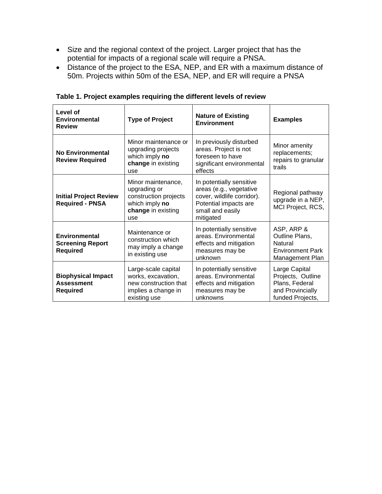- Size and the regional context of the project. Larger project that has the potential for impacts of a regional scale will require a PNSA.
- Distance of the project to the ESA, NEP, and ER with a maximum distance of 50m. Projects within 50m of the ESA, NEP, and ER will require a PNSA

| Level of<br><b>Environmental</b><br><b>Review</b>                 | <b>Type of Project</b>                                                                                     | <b>Nature of Existing</b><br><b>Environment</b>                                                                                             | <b>Examples</b>                                                                              |  |
|-------------------------------------------------------------------|------------------------------------------------------------------------------------------------------------|---------------------------------------------------------------------------------------------------------------------------------------------|----------------------------------------------------------------------------------------------|--|
| <b>No Environmental</b><br><b>Review Required</b>                 | Minor maintenance or<br>upgrading projects<br>which imply no<br>change in existing<br>use                  | In previously disturbed<br>areas. Project is not<br>foreseen to have<br>significant environmental<br>effects                                | Minor amenity<br>replacements;<br>repairs to granular<br>trails                              |  |
| <b>Initial Project Review</b><br><b>Required - PNSA</b>           | Minor maintenance,<br>upgrading or<br>construction projects<br>which imply no<br>change in existing<br>use | In potentially sensitive<br>areas (e.g., vegetative<br>cover, wildlife corridor).<br>Potential impacts are<br>small and easily<br>mitigated | Regional pathway<br>upgrade in a NEP,<br>MCI Project, RCS,                                   |  |
| Environmental<br><b>Screening Report</b><br><b>Required</b>       | Maintenance or<br>construction which<br>may imply a change<br>in existing use                              | In potentially sensitive<br>areas. Environmental<br>effects and mitigation<br>measures may be<br>unknown                                    | ASP, ARP &<br>Outline Plans,<br>Natural<br><b>Environment Park</b><br>Management Plan        |  |
| <b>Biophysical Impact</b><br><b>Assessment</b><br><b>Required</b> | Large-scale capital<br>works, excavation,<br>new construction that<br>implies a change in<br>existing use  | In potentially sensitive<br>areas. Environmental<br>effects and mitigation<br>measures may be<br>unknowns                                   | Large Capital<br>Projects, Outline<br>Plans, Federal<br>and Provincially<br>funded Projects, |  |

**Table 1. Project examples requiring the different levels of review**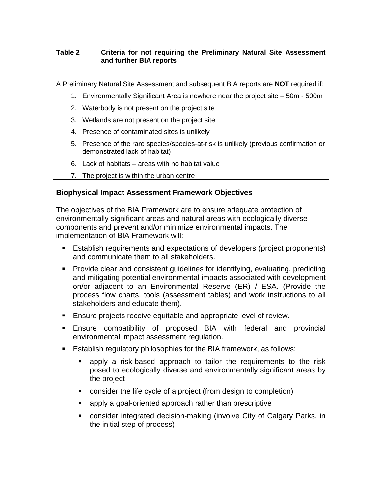### **Table 2 Criteria for not requiring the Preliminary Natural Site Assessment and further BIA reports**

| A Preliminary Natural Site Assessment and subsequent BIA reports are <b>NOT</b> required if:                           |
|------------------------------------------------------------------------------------------------------------------------|
| 1. Environmentally Significant Area is nowhere near the project site – 50m - 500m                                      |
| 2. Waterbody is not present on the project site                                                                        |
| 3. Wetlands are not present on the project site                                                                        |
| 4. Presence of contaminated sites is unlikely                                                                          |
| 5. Presence of the rare species/species-at-risk is unlikely (previous confirmation or<br>demonstrated lack of habitat) |
| 6. Lack of habitats – areas with no habitat value                                                                      |
| 7. The project is within the urban centre                                                                              |

## **Biophysical Impact Assessment Framework Objectives**

The objectives of the BIA Framework are to ensure adequate protection of environmentally significant areas and natural areas with ecologically diverse components and prevent and/or minimize environmental impacts. The implementation of BIA Framework will:

- Establish requirements and expectations of developers (project proponents) and communicate them to all stakeholders.
- Provide clear and consistent guidelines for identifying, evaluating, predicting and mitigating potential environmental impacts associated with development on/or adjacent to an Environmental Reserve (ER) / ESA. (Provide the process flow charts, tools (assessment tables) and work instructions to all stakeholders and educate them).
- **Ensure projects receive equitable and appropriate level of review.**
- Ensure compatibility of proposed BIA with federal and provincial environmental impact assessment regulation.
- Establish regulatory philosophies for the BIA framework, as follows:
	- apply a risk-based approach to tailor the requirements to the risk posed to ecologically diverse and environmentally significant areas by the project
	- consider the life cycle of a project (from design to completion)
	- **EXECT** apply a goal-oriented approach rather than prescriptive
	- consider integrated decision-making (involve City of Calgary Parks, in the initial step of process)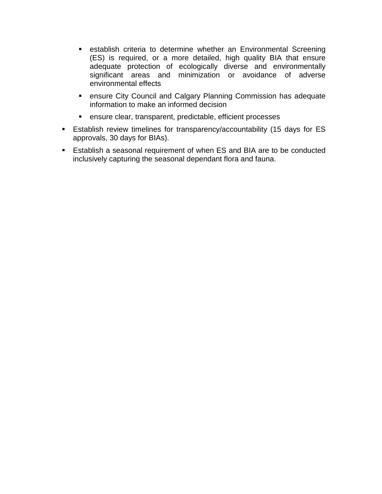- **EXECT ATTE:** establish criteria to determine whether an Environmental Screening (ES) is required, or a more detailed, high quality BIA that ensure adequate protection of ecologically diverse and environmentally significant areas and minimization or avoidance of adverse environmental effects
- ensure City Council and Calgary Planning Commission has adequate information to make an informed decision
- ensure clear, transparent, predictable, efficient processes
- **Establish review timelines for transparency/accountability (15 days for ES** approvals, 30 days for BIAs).
- Establish a seasonal requirement of when ES and BIA are to be conducted inclusively capturing the seasonal dependant flora and fauna.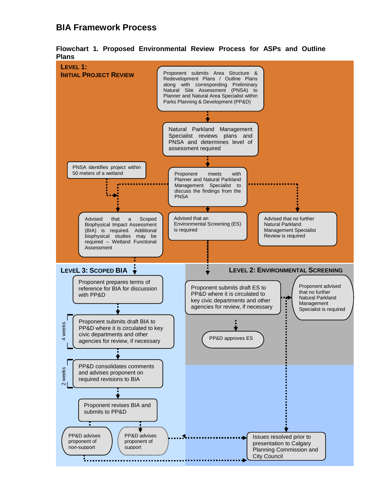# **BIA Framework Process**



**Flowchart 1. Proposed Environmental Review Process for ASPs and Outline Plans**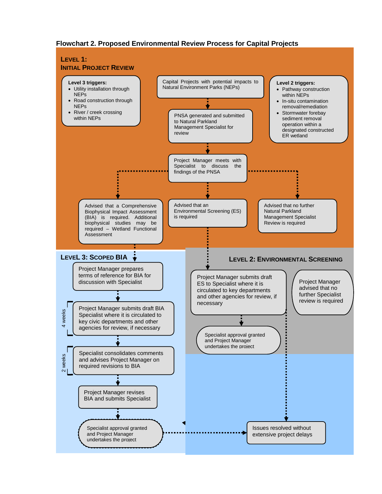### **Flowchart 2. Proposed Environmental Review Process for Capital Projects**

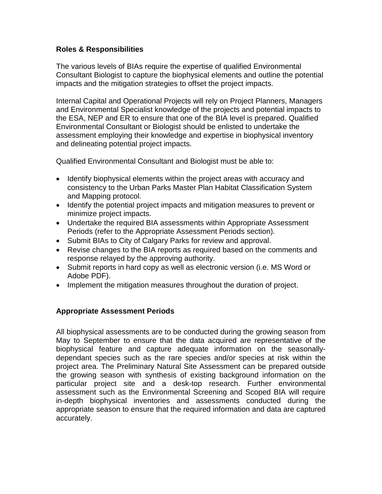## **Roles & Responsibilities**

The various levels of BIAs require the expertise of qualified Environmental Consultant Biologist to capture the biophysical elements and outline the potential impacts and the mitigation strategies to offset the project impacts.

Internal Capital and Operational Projects will rely on Project Planners, Managers and Environmental Specialist knowledge of the projects and potential impacts to the ESA, NEP and ER to ensure that one of the BIA level is prepared. Qualified Environmental Consultant or Biologist should be enlisted to undertake the assessment employing their knowledge and expertise in biophysical inventory and delineating potential project impacts.

Qualified Environmental Consultant and Biologist must be able to:

- Identify biophysical elements within the project areas with accuracy and consistency to the Urban Parks Master Plan Habitat Classification System and Mapping protocol.
- Identify the potential project impacts and mitigation measures to prevent or minimize project impacts.
- Undertake the required BIA assessments within Appropriate Assessment Periods (refer to the Appropriate Assessment Periods section).
- Submit BIAs to City of Calgary Parks for review and approval.
- Revise changes to the BIA reports as required based on the comments and response relayed by the approving authority.
- Submit reports in hard copy as well as electronic version (i.e. MS Word or Adobe PDF).
- Implement the mitigation measures throughout the duration of project.

## **Appropriate Assessment Periods**

All biophysical assessments are to be conducted during the growing season from May to September to ensure that the data acquired are representative of the biophysical feature and capture adequate information on the seasonallydependant species such as the rare species and/or species at risk within the project area. The Preliminary Natural Site Assessment can be prepared outside the growing season with synthesis of existing background information on the particular project site and a desk-top research. Further environmental assessment such as the Environmental Screening and Scoped BIA will require in-depth biophysical inventories and assessments conducted during the appropriate season to ensure that the required information and data are captured accurately.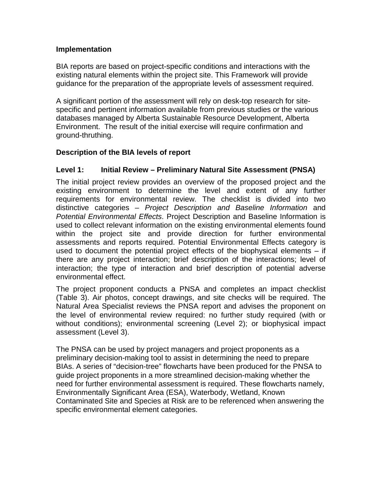### **Implementation**

BIA reports are based on project-specific conditions and interactions with the existing natural elements within the project site. This Framework will provide guidance for the preparation of the appropriate levels of assessment required.

A significant portion of the assessment will rely on desk-top research for sitespecific and pertinent information available from previous studies or the various databases managed by Alberta Sustainable Resource Development, Alberta Environment. The result of the initial exercise will require confirmation and ground-thruthing.

## **Description of the BIA levels of report**

## **Level 1: Initial Review – Preliminary Natural Site Assessment (PNSA)**

The initial project review provides an overview of the proposed project and the existing environment to determine the level and extent of any further requirements for environmental review. The checklist is divided into two distinctive categories – *Project Description and Baseline Information* and *Potential Environmental Effects*. Project Description and Baseline Information is used to collect relevant information on the existing environmental elements found within the project site and provide direction for further environmental assessments and reports required. Potential Environmental Effects category is used to document the potential project effects of the biophysical elements – if there are any project interaction; brief description of the interactions; level of interaction; the type of interaction and brief description of potential adverse environmental effect.

The project proponent conducts a PNSA and completes an impact checklist (Table 3). Air photos, concept drawings, and site checks will be required. The Natural Area Specialist reviews the PNSA report and advises the proponent on the level of environmental review required: no further study required (with or without conditions); environmental screening (Level 2); or biophysical impact assessment (Level 3).

The PNSA can be used by project managers and project proponents as a preliminary decision-making tool to assist in determining the need to prepare BIAs. A series of "decision-tree" flowcharts have been produced for the PNSA to guide project proponents in a more streamlined decision-making whether the need for further environmental assessment is required. These flowcharts namely, Environmentally Significant Area (ESA), Waterbody, Wetland, Known Contaminated Site and Species at Risk are to be referenced when answering the specific environmental element categories.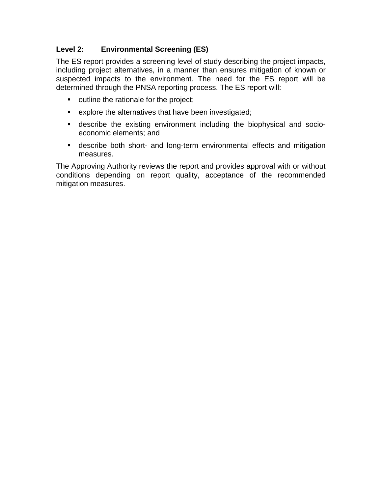# **Level 2: Environmental Screening (ES)**

The ES report provides a screening level of study describing the project impacts, including project alternatives, in a manner than ensures mitigation of known or suspected impacts to the environment. The need for the ES report will be determined through the PNSA reporting process. The ES report will:

- outline the rationale for the project;
- explore the alternatives that have been investigated;
- describe the existing environment including the biophysical and socioeconomic elements; and
- describe both short- and long-term environmental effects and mitigation measures.

The Approving Authority reviews the report and provides approval with or without conditions depending on report quality, acceptance of the recommended mitigation measures.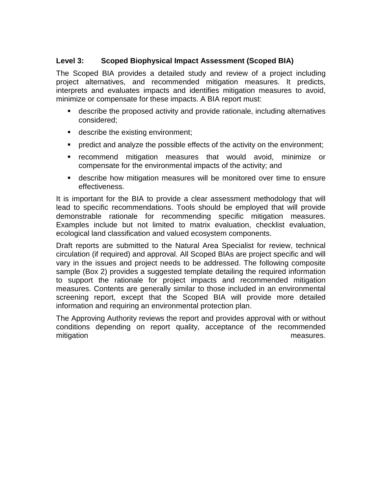## **Level 3: Scoped Biophysical Impact Assessment (Scoped BIA)**

The Scoped BIA provides a detailed study and review of a project including project alternatives, and recommended mitigation measures. It predicts, interprets and evaluates impacts and identifies mitigation measures to avoid, minimize or compensate for these impacts. A BIA report must:

- describe the proposed activity and provide rationale, including alternatives considered;
- **describe the existing environment;**
- **Permedict and analyze the possible effects of the activity on the environment;**
- **•** recommend mitigation measures that would avoid, minimize or compensate for the environmental impacts of the activity; and
- describe how mitigation measures will be monitored over time to ensure effectiveness.

It is important for the BIA to provide a clear assessment methodology that will lead to specific recommendations. Tools should be employed that will provide demonstrable rationale for recommending specific mitigation measures. Examples include but not limited to matrix evaluation, checklist evaluation, ecological land classification and valued ecosystem components.

Draft reports are submitted to the Natural Area Specialist for review, technical circulation (if required) and approval. All Scoped BIAs are project specific and will vary in the issues and project needs to be addressed. The following composite sample (Box 2) provides a suggested template detailing the required information to support the rationale for project impacts and recommended mitigation measures. Contents are generally similar to those included in an environmental screening report, except that the Scoped BIA will provide more detailed information and requiring an environmental protection plan.

The Approving Authority reviews the report and provides approval with or without conditions depending on report quality, acceptance of the recommended mitigation measures.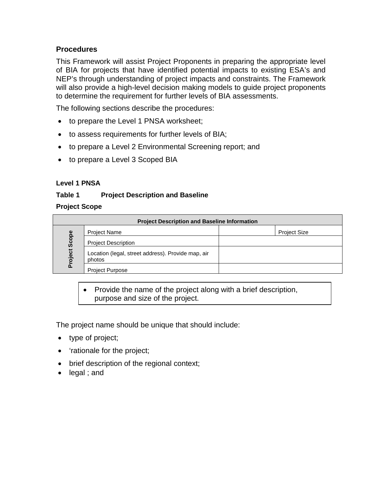## **Procedures**

This Framework will assist Project Proponents in preparing the appropriate level of BIA for projects that have identified potential impacts to existing ESA's and NEP's through understanding of project impacts and constraints. The Framework will also provide a high-level decision making models to guide project proponents to determine the requirement for further levels of BIA assessments.

The following sections describe the procedures:

- to prepare the Level 1 PNSA worksheet;
- to assess requirements for further levels of BIA;
- to prepare a Level 2 Environmental Screening report; and
- to prepare a Level 3 Scoped BIA

### **Level 1 PNSA**

### **Table 1 Project Description and Baseline**

### **Project Scope**

|          | <b>Project Description and Baseline Information</b>          |                     |
|----------|--------------------------------------------------------------|---------------------|
|          | <b>Project Name</b>                                          | <b>Project Size</b> |
| Scope    | <b>Project Description</b>                                   |                     |
| roject   | Location (legal, street address). Provide map, air<br>photos |                     |
| $\Omega$ | <b>Project Purpose</b>                                       |                     |

• Provide the name of the project along with a brief description, purpose and size of the project.

The project name should be unique that should include:

- type of project;
- 'rationale for the project;
- brief description of the regional context;
- legal ; and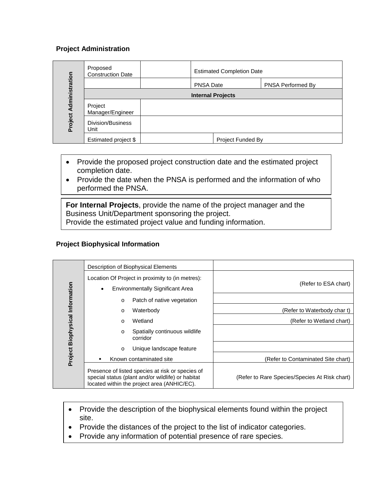### **Project Administration**

|                               | Proposed<br><b>Construction Date</b> | <b>Estimated Completion Date</b> |                          |                          |                   |
|-------------------------------|--------------------------------------|----------------------------------|--------------------------|--------------------------|-------------------|
|                               |                                      |                                  | <b>PNSA Date</b>         |                          | PNSA Performed By |
|                               |                                      |                                  | <b>Internal Projects</b> |                          |                   |
| <b>Project Administration</b> | Project<br>Manager/Engineer          |                                  |                          |                          |                   |
|                               | Division/Business<br>Unit            |                                  |                          |                          |                   |
|                               | Estimated project \$                 |                                  |                          | <b>Project Funded By</b> |                   |

- Provide the proposed project construction date and the estimated project completion date.
- Provide the date when the PNSA is performed and the information of who performed the PNSA.

**For Internal Projects**, provide the name of the project manager and the Business Unit/Department sponsoring the project. Provide the estimated project value and funding information.

### **Project Biophysical Information**

|                                        | Description of Biophysical Elements                                                                                                                  |                                               |
|----------------------------------------|------------------------------------------------------------------------------------------------------------------------------------------------------|-----------------------------------------------|
|                                        | Location Of Project in proximity to (in metres):<br><b>Environmentally Significant Area</b><br>٠                                                     | (Refer to ESA chart)                          |
|                                        | Patch of native vegetation<br>$\circ$                                                                                                                |                                               |
|                                        | Waterbody<br>$\circ$                                                                                                                                 | (Refer to Waterbody char t)                   |
| <b>Project Biophysical Information</b> | Wetland<br>$\Omega$                                                                                                                                  | (Refer to Wetland chart)                      |
|                                        | Spatially continuous wildlife<br>$\circ$<br>corridor                                                                                                 |                                               |
|                                        | Unique landscape feature<br>$\circ$                                                                                                                  |                                               |
|                                        | Known contaminated site                                                                                                                              | (Refer to Contaminated Site chart)            |
|                                        | Presence of listed species at risk or species of<br>special status (plant and/or wildlife) or habitat<br>located within the project area (ANHIC/EC). | (Refer to Rare Species/Species At Risk chart) |

- Provide the description of the biophysical elements found within the project site.
- Provide the distances of the project to the list of indicator categories.
- Provide any information of potential presence of rare species.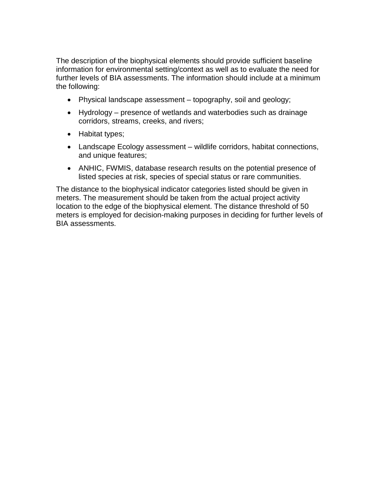The description of the biophysical elements should provide sufficient baseline information for environmental setting/context as well as to evaluate the need for further levels of BIA assessments. The information should include at a minimum the following:

- Physical landscape assessment topography, soil and geology;
- Hydrology presence of wetlands and waterbodies such as drainage corridors, streams, creeks, and rivers;
- Habitat types;
- Landscape Ecology assessment wildlife corridors, habitat connections, and unique features;
- ANHIC, FWMIS, database research results on the potential presence of listed species at risk, species of special status or rare communities.

The distance to the biophysical indicator categories listed should be given in meters. The measurement should be taken from the actual project activity location to the edge of the biophysical element. The distance threshold of 50 meters is employed for decision-making purposes in deciding for further levels of BIA assessments.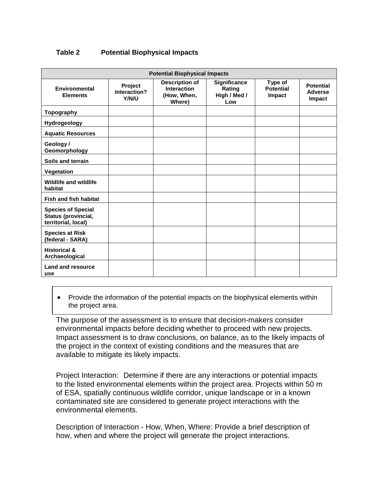### **Table 2 Potential Biophysical Impacts**

|                                                                         | <b>Potential Biophysical Impacts</b> |                                                               |                                               |                                       |                                              |  |
|-------------------------------------------------------------------------|--------------------------------------|---------------------------------------------------------------|-----------------------------------------------|---------------------------------------|----------------------------------------------|--|
| <b>Environmental</b><br><b>Elements</b>                                 | Project<br>Interaction?<br>Y/N/U     | Description of<br><b>Interaction</b><br>(How, When,<br>Where) | Significance<br>Rating<br>High / Med /<br>Low | Type of<br><b>Potential</b><br>Impact | <b>Potential</b><br><b>Adverse</b><br>Impact |  |
| Topography                                                              |                                      |                                                               |                                               |                                       |                                              |  |
| Hydrogeology                                                            |                                      |                                                               |                                               |                                       |                                              |  |
| <b>Aquatic Resources</b>                                                |                                      |                                                               |                                               |                                       |                                              |  |
| Geology /<br>Geomorphology                                              |                                      |                                                               |                                               |                                       |                                              |  |
| Soils and terrain                                                       |                                      |                                                               |                                               |                                       |                                              |  |
| Vegetation                                                              |                                      |                                                               |                                               |                                       |                                              |  |
| <b>Wildlife and wildlife</b><br>habitat                                 |                                      |                                                               |                                               |                                       |                                              |  |
| <b>Fish and fish habitat</b>                                            |                                      |                                                               |                                               |                                       |                                              |  |
| <b>Species of Special</b><br>Status (provincial,<br>territorial, local) |                                      |                                                               |                                               |                                       |                                              |  |
| <b>Species at Risk</b><br>(federal - SARA)                              |                                      |                                                               |                                               |                                       |                                              |  |
| <b>Historical &amp;</b><br>Archaeological                               |                                      |                                                               |                                               |                                       |                                              |  |
| Land and resource<br>use                                                |                                      |                                                               |                                               |                                       |                                              |  |

• Provide the information of the potential impacts on the biophysical elements within the project area.

The purpose of the assessment is to ensure that decision-makers consider environmental impacts before deciding whether to proceed with new projects. Impact assessment is to draw conclusions, on balance, as to the likely impacts of the project in the context of existing conditions and the measures that are available to mitigate its likely impacts.

Project Interaction: Determine if there are any interactions or potential impacts to the listed environmental elements within the project area. Projects within 50 m of ESA, spatially continuous wildlife corridor, unique landscape or in a known contaminated site are considered to generate project interactions with the environmental elements.

Description of Interaction - How, When, Where: Provide a brief description of how, when and where the project will generate the project interactions.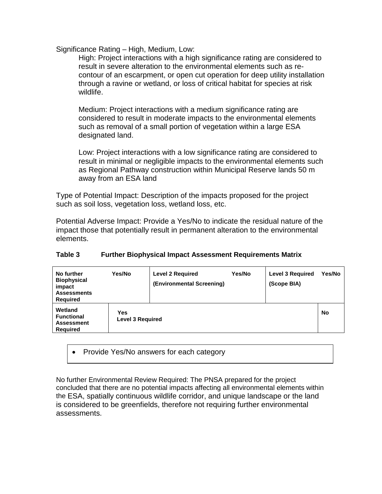Significance Rating – High, Medium, Low:

High: Project interactions with a high significance rating are considered to result in severe alteration to the environmental elements such as recontour of an escarpment, or open cut operation for deep utility installation through a ravine or wetland, or loss of critical habitat for species at risk wildlife.

Medium: Project interactions with a medium significance rating are considered to result in moderate impacts to the environmental elements such as removal of a small portion of vegetation within a large ESA designated land.

Low: Project interactions with a low significance rating are considered to result in minimal or negligible impacts to the environmental elements such as Regional Pathway construction within Municipal Reserve lands 50 m away from an ESA land

Type of Potential Impact: Description of the impacts proposed for the project such as soil loss, vegetation loss, wetland loss, etc.

Potential Adverse Impact: Provide a Yes/No to indicate the residual nature of the impact those that potentially result in permanent alteration to the environmental elements.

|  | Table 3 | <b>Further Biophysical Impact Assessment Requirements Matrix</b> |  |  |  |
|--|---------|------------------------------------------------------------------|--|--|--|
|--|---------|------------------------------------------------------------------|--|--|--|

| No further<br><b>Biophysical</b><br>impact<br><b>Assessments</b><br><b>Required</b> | Yes/No                                | <b>Level 2 Required</b><br>(Environmental Screening) | Yes/No | <b>Level 3 Required</b><br>(Scope BIA) | Yes/No    |
|-------------------------------------------------------------------------------------|---------------------------------------|------------------------------------------------------|--------|----------------------------------------|-----------|
| Wetland<br><b>Functional</b><br><b>Assessment</b><br><b>Required</b>                | <b>Yes</b><br><b>Level 3 Required</b> |                                                      |        |                                        | <b>No</b> |

• Provide Yes/No answers for each category

No further Environmental Review Required: The PNSA prepared for the project concluded that there are no potential impacts affecting all environmental elements within the ESA, spatially continuous wildlife corridor, and unique landscape or the land is considered to be greenfields, therefore not requiring further environmental assessments.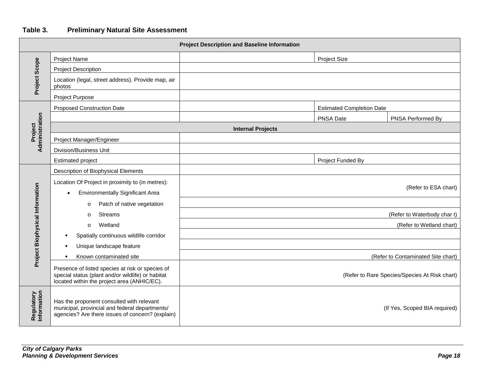### **Table 3. Preliminary Natural Site Assessment**

|                                        |                                                                                                                                                      | <b>Project Description and Baseline Information</b> |                                  |                               |
|----------------------------------------|------------------------------------------------------------------------------------------------------------------------------------------------------|-----------------------------------------------------|----------------------------------|-------------------------------|
|                                        | <b>Project Name</b>                                                                                                                                  |                                                     | <b>Project Size</b>              |                               |
|                                        | <b>Project Description</b>                                                                                                                           |                                                     |                                  |                               |
| Project Scope                          | Location (legal, street address). Provide map, air<br>photos                                                                                         |                                                     |                                  |                               |
|                                        | Project Purpose                                                                                                                                      |                                                     |                                  |                               |
| <b>Proposed Construction Date</b>      |                                                                                                                                                      |                                                     | <b>Estimated Completion Date</b> |                               |
|                                        |                                                                                                                                                      |                                                     | PNSA Date                        | PNSA Performed By             |
| Administration<br>Project              |                                                                                                                                                      | <b>Internal Projects</b>                            |                                  |                               |
|                                        | Project Manager/Engineer                                                                                                                             |                                                     |                                  |                               |
|                                        | Division/Business Unit                                                                                                                               |                                                     |                                  |                               |
|                                        | Estimated project                                                                                                                                    |                                                     | Project Funded By                |                               |
|                                        | Description of Biophysical Elements                                                                                                                  |                                                     |                                  |                               |
| <b>Project Biophysical Information</b> | Location Of Project in proximity to (in metres):                                                                                                     |                                                     |                                  | (Refer to ESA chart)          |
|                                        | Environmentally Significant Area<br>$\bullet$                                                                                                        |                                                     |                                  |                               |
|                                        | Patch of native vegetation<br>$\circ$                                                                                                                |                                                     |                                  |                               |
|                                        | <b>Streams</b><br>$\circ$                                                                                                                            |                                                     |                                  | (Refer to Waterbody char t)   |
|                                        | Wetland<br>$\circ$                                                                                                                                   | (Refer to Wetland chart)                            |                                  |                               |
|                                        | Spatially continuous wildlife corridor                                                                                                               |                                                     |                                  |                               |
|                                        | Unique landscape feature                                                                                                                             |                                                     |                                  |                               |
|                                        | Known contaminated site                                                                                                                              | (Refer to Contaminated Site chart)                  |                                  |                               |
|                                        | Presence of listed species at risk or species of<br>special status (plant and/or wildlife) or habitat<br>located within the project area (ANHIC/EC). | (Refer to Rare Species/Species At Risk chart)       |                                  |                               |
| Regulatory<br>Information              | Has the proponent consulted with relevant<br>municipal, provincial and federal departments/<br>agencies? Are there issues of concern? (explain)      |                                                     |                                  | (If Yes, Scoped BIA required) |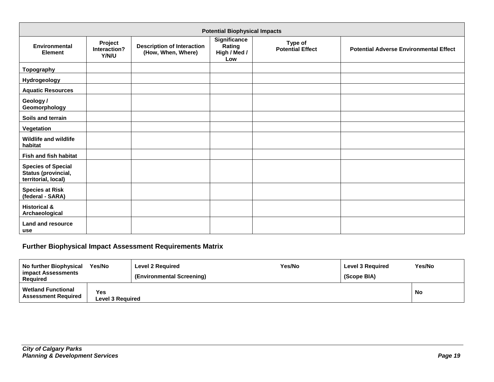| <b>Potential Biophysical Impacts</b>                                    |                                  |                                                         |                                               |                                    |                                               |
|-------------------------------------------------------------------------|----------------------------------|---------------------------------------------------------|-----------------------------------------------|------------------------------------|-----------------------------------------------|
| <b>Environmental</b><br><b>Element</b>                                  | Project<br>Interaction?<br>Y/N/U | <b>Description of Interaction</b><br>(How, When, Where) | Significance<br>Rating<br>High / Med /<br>Low | Type of<br><b>Potential Effect</b> | <b>Potential Adverse Environmental Effect</b> |
| <b>Topography</b>                                                       |                                  |                                                         |                                               |                                    |                                               |
| <b>Hydrogeology</b>                                                     |                                  |                                                         |                                               |                                    |                                               |
| <b>Aquatic Resources</b>                                                |                                  |                                                         |                                               |                                    |                                               |
| Geology /<br>Geomorphology                                              |                                  |                                                         |                                               |                                    |                                               |
| Soils and terrain                                                       |                                  |                                                         |                                               |                                    |                                               |
| Vegetation                                                              |                                  |                                                         |                                               |                                    |                                               |
| <b>Wildlife and wildlife</b><br>habitat                                 |                                  |                                                         |                                               |                                    |                                               |
| Fish and fish habitat                                                   |                                  |                                                         |                                               |                                    |                                               |
| <b>Species of Special</b><br>Status (provincial,<br>territorial, local) |                                  |                                                         |                                               |                                    |                                               |
| <b>Species at Risk</b><br>(federal - SARA)                              |                                  |                                                         |                                               |                                    |                                               |
| <b>Historical &amp;</b><br>Archaeological                               |                                  |                                                         |                                               |                                    |                                               |
| <b>Land and resource</b><br>use                                         |                                  |                                                         |                                               |                                    |                                               |

## **Further Biophysical Impact Assessment Requirements Matrix**

| No further Biophysical<br><b>impact Assessments</b><br><b>Required</b> | Yes/No<br>Yes/No<br><b>Level 2 Required</b><br>(Environmental Screening) |  | <b>Level 3 Required</b><br>(Scope BIA) | Yes/No |    |
|------------------------------------------------------------------------|--------------------------------------------------------------------------|--|----------------------------------------|--------|----|
| <b>Wetland Functional</b><br><b>Assessment Required</b>                | Yes<br><b>Level 3 Reauired</b>                                           |  |                                        |        | No |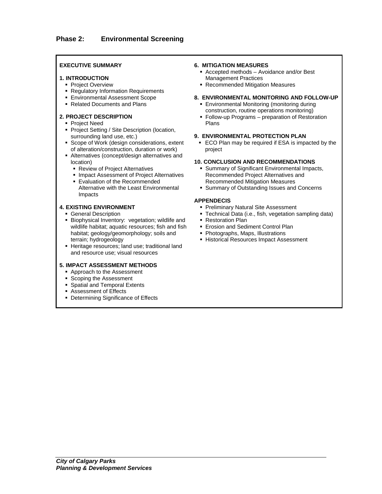### **EXECUTIVE SUMMARY**

#### **1. INTRODUCTION**

- **Project Overview**
- **Regulatory Information Requirements**
- Environmental Assessment Scope
- Related Documents and Plans

### **2. PROJECT DESCRIPTION**

- Project Need
- **Project Setting / Site Description (location,** surrounding land use, etc.)
- Scope of Work (design considerations, extent of alteration/construction, duration or work)
- Alternatives (concept/design alternatives and location)
	- Review of Project Alternatives
	- **Impact Assessment of Project Alternatives**
	- Evaluation of the Recommended Alternative with the Least Environmental Impacts

### **4. EXISTING ENVIRONMENT**

- **General Description**
- **Biophysical Inventory: vegetation; wildlife and** wildlife habitat; aquatic resources; fish and fish habitat; geology/geomorphology; soils and terrain; hydrogeology
- Heritage resources; land use; traditional land and resource use; visual resources

#### **5. IMPACT ASSESSMENT METHODS**

- Approach to the Assessment
- Scoping the Assessment
- **Spatial and Temporal Extents**
- Assessment of Effects
- **Determining Significance of Effects**

#### **6. MITIGATION MEASURES**

- Accepted methods Avoidance and/or Best Management Practices
- Recommended Mitigation Measures

### **8. ENVIRONMENTAL MONITORING AND FOLLOW-UP**

- Environmental Monitoring (monitoring during construction, routine operations monitoring)
- Follow-up Programs preparation of Restoration Plans

#### **9. ENVIRONMENTAL PROTECTION PLAN**

**ECO Plan may be required if ESA is impacted by the** project

#### **10. CONCLUSION AND RECOMMENDATIONS**

- **Summary of Significant Environmental Impacts,** Recommended Project Alternatives and Recommended Mitigation Measures
- **Summary of Outstanding Issues and Concerns**

#### **APPENDECIS**

- **Preliminary Natural Site Assessment**
- Technical Data (i.e., fish, vegetation sampling data)
- Restoration Plan
- **Erosion and Sediment Control Plan**
- Photographs, Maps, Illustrations
- **Historical Resources Impact Assessment**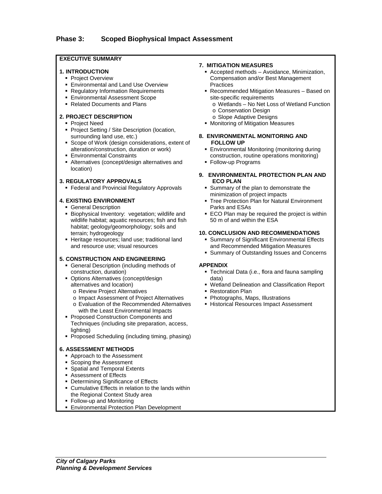### **EXECUTIVE SUMMARY**

### **1. INTRODUCTION**

- Project Overview
- Environmental and Land Use Overview
- **Regulatory Information Requirements**
- Environmental Assessment Scope
- Related Documents and Plans

### **2. PROJECT DESCRIPTION**

- Project Need
- **Project Setting / Site Description (location,** surrounding land use, etc.)
- Scope of Work (design considerations, extent of alteration/construction, duration or work)
- **Environmental Constraints**
- Alternatives (concept/design alternatives and location)

### **3. REGULATORY APPROVALS**

**Federal and Provincial Regulatory Approvals** 

### **4. EXISTING ENVIRONMENT**

- **General Description**
- **Biophysical Inventory: vegetation; wildlife and** wildlife habitat; aquatic resources; fish and fish habitat; geology/geomorphology; soils and terrain; hydrogeology
- **Heritage resources; land use; traditional land** and resource use; visual resources

#### **5. CONSTRUCTION AND ENGINEERING**

- General Description (including methods of construction, duration)
- Options Alternatives (concept/design alternatives and location)
	- o Review Project Alternatives
	- o Impact Assessment of Project Alternatives
	- o Evaluation of the Recommended Alternatives with the Least Environmental Impacts
- **Proposed Construction Components and** Techniques (including site preparation, access, lighting)
- Proposed Scheduling (including timing, phasing)

### **6. ASSESSMENT METHODS**

- Approach to the Assessment
- Scoping the Assessment
- Spatial and Temporal Extents
- Assessment of Effects
- **Determining Significance of Effects**
- Cumulative Effects in relation to the lands within the Regional Context Study area
- **Follow-up and Monitoring**
- Environmental Protection Plan Development

### **7. MITIGATION MEASURES**

- Accepted methods Avoidance, Minimization, Compensation and/or Best Management **Practices**
- Recommended Mitigation Measures Based on site-specific requirements
	- o Wetlands No Net Loss of Wetland Function
	- o Conservation Design
	- o Slope Adaptive Designs
- **Monitoring of Mitigation Measures**
- **8. ENVIRONMENTAL MONITORING AND FOLLOW UP**
	- **Environmental Monitoring (monitoring during** construction, routine operations monitoring)
	- Follow-up Programs
- **9. ENVIRONMENTAL PROTECTION PLAN AND ECO PLAN**
	- Summary of the plan to demonstrate the minimization of project impacts
	- **Tree Protection Plan for Natural Environment** Parks and ESAs
	- **ECO Plan may be required the project is within** 50 m of and within the ESA

### **10. CONCLUSION AND RECOMMENDATIONS**

- **Summary of Significant Environmental Effects** and Recommended Mitigation Measures
- **Summary of Outstanding Issues and Concerns**

#### **APPENDIX**

- **Technical Data (i.e., flora and fauna sampling** data)
- Wetland Delineation and Classification Report
- **Restoration Plan**
- Photographs, Maps, Illustrations
- Historical Resources Impact Assessment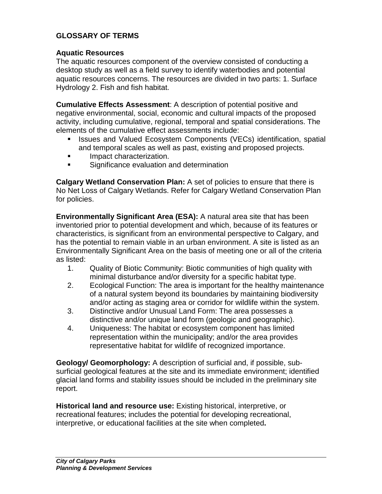# **GLOSSARY OF TERMS**

## **Aquatic Resources**

The aquatic resources component of the overview consisted of conducting a desktop study as well as a field survey to identify waterbodies and potential aquatic resources concerns. The resources are divided in two parts: 1. Surface Hydrology 2. Fish and fish habitat.

**Cumulative Effects Assessment**: A description of potential positive and negative environmental, social, economic and cultural impacts of the proposed activity, including cumulative, regional, temporal and spatial considerations. The elements of the cumulative effect assessments include:

- **In Issues and Valued Ecosystem Components (VECs) identification, spatial Interation** and temporal scales as well as past, existing and proposed projects.
- **Impact characterization.**
- **Significance evaluation and determination**

**Calgary Wetland Conservation Plan:** A set of policies to ensure that there is No Net Loss of Calgary Wetlands. Refer for Calgary Wetland Conservation Plan for policies.

**Environmentally Significant Area (ESA):** A natural area site that has been inventoried prior to potential development and which, because of its features or characteristics, is significant from an environmental perspective to Calgary, and has the potential to remain viable in an urban environment. A site is listed as an Environmentally Significant Area on the basis of meeting one or all of the criteria as listed:

- 1. Quality of Biotic Community: Biotic communities of high quality with minimal disturbance and/or diversity for a specific habitat type.
- 2. Ecological Function: The area is important for the healthy maintenance of a natural system beyond its boundaries by maintaining biodiversity and/or acting as staging area or corridor for wildlife within the system.
- 3. Distinctive and/or Unusual Land Form: The area possesses a distinctive and/or unique land form (geologic and geographic).
- 4. Uniqueness: The habitat or ecosystem component has limited representation within the municipality; and/or the area provides representative habitat for wildlife of recognized importance.

**Geology/ Geomorphology:** A description of surficial and, if possible, subsurficial geological features at the site and its immediate environment; identified glacial land forms and stability issues should be included in the preliminary site report.

**Historical land and resource use:** Existing historical, interpretive, or recreational features; includes the potential for developing recreational, interpretive, or educational facilities at the site when completed**.**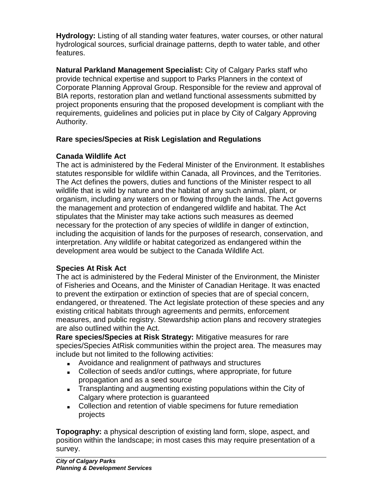**Hydrology:** Listing of all standing water features, water courses, or other natural hydrological sources, surficial drainage patterns, depth to water table, and other features.

**Natural Parkland Management Specialist:** City of Calgary Parks staff who provide technical expertise and support to Parks Planners in the context of Corporate Planning Approval Group. Responsible for the review and approval of BIA reports, restoration plan and wetland functional assessments submitted by project proponents ensuring that the proposed development is compliant with the requirements, guidelines and policies put in place by City of Calgary Approving Authority.

# **Rare species/Species at Risk Legislation and Regulations**

# **Canada Wildlife Act**

The act is administered by the Federal Minister of the Environment. It establishes statutes responsible for wildlife within Canada, all Provinces, and the Territories. The Act defines the powers, duties and functions of the Minister respect to all wildlife that is wild by nature and the habitat of any such animal, plant, or organism, including any waters on or flowing through the lands. The Act governs the management and protection of endangered wildlife and habitat. The Act stipulates that the Minister may take actions such measures as deemed necessary for the protection of any species of wildlife in danger of extinction, including the acquisition of lands for the purposes of research, conservation, and interpretation. Any wildlife or habitat categorized as endangered within the development area would be subject to the Canada Wildlife Act.

# **Species At Risk Act**

The act is administered by the Federal Minister of the Environment, the Minister of Fisheries and Oceans, and the Minister of Canadian Heritage. It was enacted to prevent the extirpation or extinction of species that are of special concern, endangered, or threatened. The Act legislate protection of these species and any existing critical habitats through agreements and permits, enforcement measures, and public registry. Stewardship action plans and recovery strategies are also outlined within the Act.

**Rare species/Species at Risk Strategy:** Mitigative measures for rare species/Species AtRisk communities within the project area. The measures may include but not limited to the following activities:

- Avoidance and realignment of pathways and structures
- Collection of seeds and/or cuttings, where appropriate, for future propagation and as a seed source
- Transplanting and augmenting existing populations within the City of Calgary where protection is guaranteed
- Collection and retention of viable specimens for future remediation projects

**Topography:** a physical description of existing land form, slope, aspect, and position within the landscape; in most cases this may require presentation of a survey.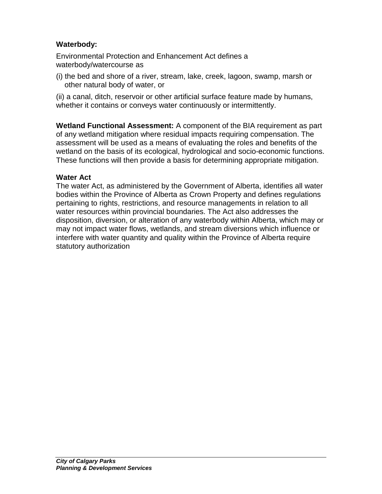# **Waterbody:**

Environmental Protection and Enhancement Act defines a waterbody/watercourse as

(i) the bed and shore of a river, stream, lake, creek, lagoon, swamp, marsh or other natural body of water, or

(ii) a canal, ditch, reservoir or other artificial surface feature made by humans, whether it contains or conveys water continuously or intermittently.

**Wetland Functional Assessment:** A component of the BIA requirement as part of any wetland mitigation where residual impacts requiring compensation. The assessment will be used as a means of evaluating the roles and benefits of the wetland on the basis of its ecological, hydrological and socio-economic functions. These functions will then provide a basis for determining appropriate mitigation.

## **Water Act**

The water Act, as administered by the Government of Alberta, identifies all water bodies within the Province of Alberta as Crown Property and defines regulations pertaining to rights, restrictions, and resource managements in relation to all water resources within provincial boundaries. The Act also addresses the disposition, diversion, or alteration of any waterbody within Alberta, which may or may not impact water flows, wetlands, and stream diversions which influence or interfere with water quantity and quality within the Province of Alberta require statutory authorization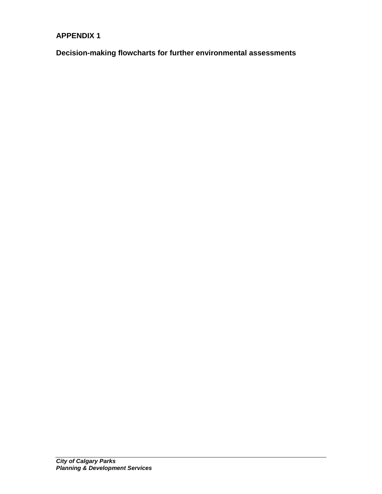# **APPENDIX 1**

**Decision-making flowcharts for further environmental assessments**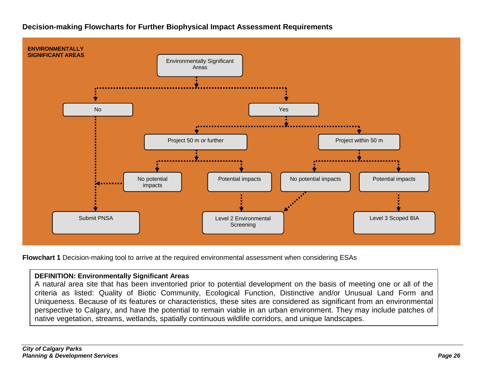## **Decision-making Flowcharts for Further Biophysical Impact Assessment Requirements**



**Flowchart 1** Decision-making tool to arrive at the required environmental assessment when considering ESAs

### **DEFINITION: Environmentally Significant Areas**

A natural area site that has been inventoried prior to potential development on the basis of meeting one or all of the criteria as listed: Quality of Biotic Community, Ecological Function, Distinctive and/or Unusual Land Form and Uniqueness. Because of its features or characteristics, these sites are considered as significant from an environmental perspective to Calgary, and have the potential to remain viable in an urban environment. They may include patches of native vegetation, streams, wetlands, spatially continuous wildlife corridors, and unique landscapes.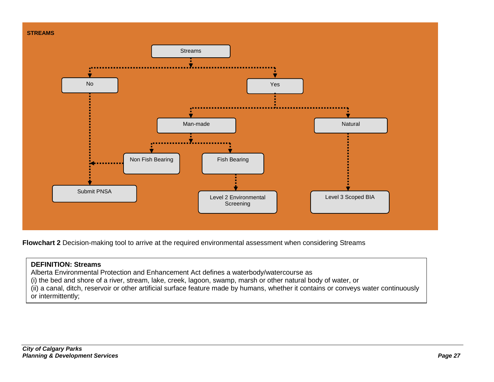

**Flowchart 2** Decision-making tool to arrive at the required environmental assessment when considering Streams

## **DEFINITION: Streams**

Alberta Environmental Protection and Enhancement Act defines a waterbody/watercourse as (i) the bed and shore of a river, stream, lake, creek, lagoon, swamp, marsh or other natural body of water, or (ii) a canal, ditch, reservoir or other artificial surface feature made by humans, whether it contains or conveys water continuously or intermittently;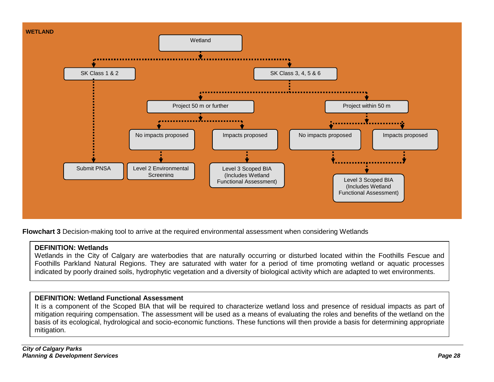

**Flowchart 3** Decision-making tool to arrive at the required environmental assessment when considering Wetlands

### **DEFINITION: Wetlands**

Wetlands in the City of Calgary are waterbodies that are naturally occurring or disturbed located within the Foothills Fescue and Foothills Parkland Natural Regions. They are saturated with water for a period of time promoting wetland or aquatic processes indicated by poorly drained soils, hydrophytic vegetation and a diversity of biological activity which are adapted to wet environments.

## **DEFINITION: Wetland Functional Assessment**

It is a component of the Scoped BIA that will be required to characterize wetland loss and presence of residual impacts as part of mitigation requiring compensation. The assessment will be used as a means of evaluating the roles and benefits of the wetland on the basis of its ecological, hydrological and socio-economic functions. These functions will then provide a basis for determining appropriate mitigation.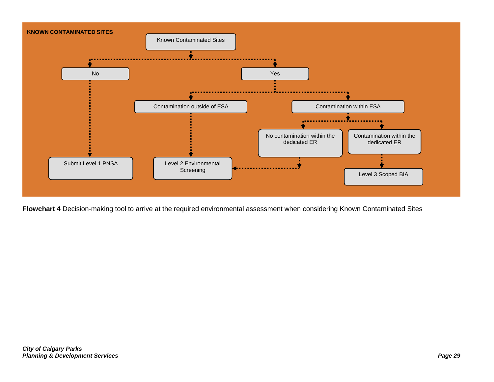

**Flowchart 4** Decision-making tool to arrive at the required environmental assessment when considering Known Contaminated Sites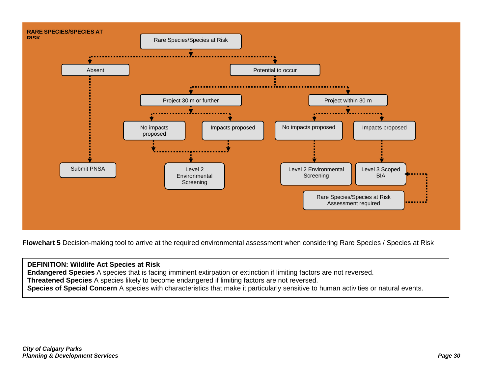

**Flowchart 5** Decision-making tool to arrive at the required environmental assessment when considering Rare Species / Species at Risk

### **DEFINITION: Wildlife Act Species at Risk**

**Endangered Species** A species that is facing imminent extirpation or extinction if limiting factors are not reversed. **Threatened Species** A species likely to become endangered if limiting factors are not reversed. **Species of Special Concern** A species with characteristics that make it particularly sensitive to human activities or natural events.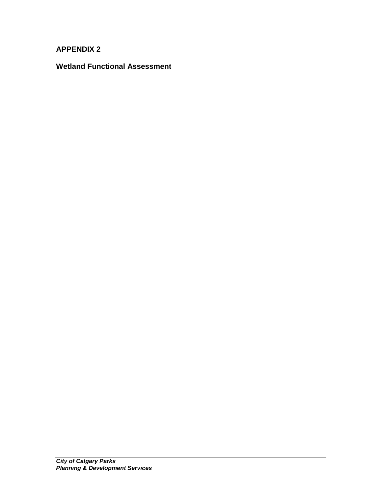# **APPENDIX 2**

# **Wetland Functional Assessment**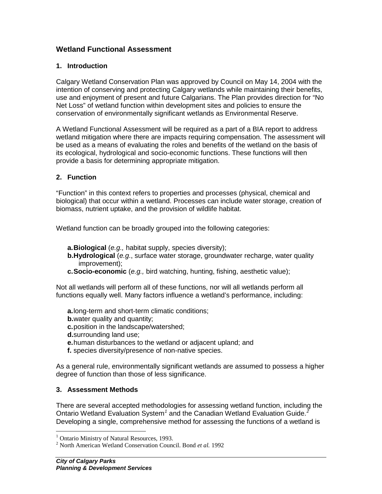# **Wetland Functional Assessment**

### **1. Introduction**

Calgary Wetland Conservation Plan was approved by Council on May 14, 2004 with the intention of conserving and protecting Calgary wetlands while maintaining their benefits, use and enjoyment of present and future Calgarians. The Plan provides direction for "No Net Loss" of wetland function within development sites and policies to ensure the conservation of environmentally significant wetlands as Environmental Reserve.

A Wetland Functional Assessment will be required as a part of a BIA report to address wetland mitigation where there are impacts requiring compensation. The assessment will be used as a means of evaluating the roles and benefits of the wetland on the basis of its ecological, hydrological and socio-economic functions. These functions will then provide a basis for determining appropriate mitigation.

### **2. Function**

"Function" in this context refers to properties and processes (physical, chemical and biological) that occur within a wetland. Processes can include water storage, creation of biomass, nutrient uptake, and the provision of wildlife habitat.

Wetland function can be broadly grouped into the following categories:

**a.Biological** (*e.g.,* habitat supply, species diversity);

- **b.Hydrological** (*e.g*., surface water storage, groundwater recharge, water quality improvement);
- **c.Socio-economic** (*e.g.,* bird watching, hunting, fishing, aesthetic value);

Not all wetlands will perform all of these functions, nor will all wetlands perform all functions equally well. Many factors influence a wetland's performance, including:

**a.**long-term and short-term climatic conditions;

**b.** water quality and quantity;

**c.**position in the landscape/watershed;

**d.**surrounding land use;

- **e.**human disturbances to the wetland or adjacent upland; and
- **f.** species diversity/presence of non-native species.

As a general rule, environmentally significant wetlands are assumed to possess a higher degree of function than those of less significance.

### **3. Assessment Methods**

There are several accepted methodologies for assessing wetland function, including the Ontario Wetland Evaluation System*[1](#page-1-0)* and the Canadian Wetland Evaluation Guide.*[2](#page-30-0)* Developing a single, comprehensive method for assessing the functions of a wetland is

<sup>&</sup>lt;sup>1</sup> Ontario Ministry of Natural Resources, 1993.

<span id="page-30-0"></span><sup>2</sup> North American Wetland Conservation Council. Bond *et al.* 1992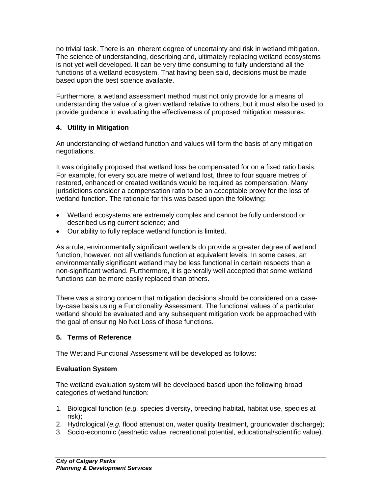no trivial task. There is an inherent degree of uncertainty and risk in wetland mitigation. The science of understanding, describing and, ultimately replacing wetland ecosystems is not yet well developed. It can be very time consuming to fully understand all the functions of a wetland ecosystem. That having been said, decisions must be made based upon the best science available.

Furthermore, a wetland assessment method must not only provide for a means of understanding the value of a given wetland relative to others, but it must also be used to provide guidance in evaluating the effectiveness of proposed mitigation measures.

## **4. Utility in Mitigation**

An understanding of wetland function and values will form the basis of any mitigation negotiations.

It was originally proposed that wetland loss be compensated for on a fixed ratio basis. For example, for every square metre of wetland lost, three to four square metres of restored, enhanced or created wetlands would be required as compensation. Many jurisdictions consider a compensation ratio to be an acceptable proxy for the loss of wetland function. The rationale for this was based upon the following:

- Wetland ecosystems are extremely complex and cannot be fully understood or described using current science; and
- Our ability to fully replace wetland function is limited.

As a rule, environmentally significant wetlands do provide a greater degree of wetland function, however, not all wetlands function at equivalent levels. In some cases, an environmentally significant wetland may be less functional in certain respects than a non-significant wetland. Furthermore, it is generally well accepted that some wetland functions can be more easily replaced than others.

There was a strong concern that mitigation decisions should be considered on a caseby-case basis using a Functionality Assessment. The functional values of a particular wetland should be evaluated and any subsequent mitigation work be approached with the goal of ensuring No Net Loss of those functions.

### **5. Terms of Reference**

The Wetland Functional Assessment will be developed as follows:

## **Evaluation System**

The wetland evaluation system will be developed based upon the following broad categories of wetland function:

- 1. Biological function (*e.g.* species diversity, breeding habitat, habitat use, species at risk);
- 2. Hydrological (*e.g.* flood attenuation, water quality treatment, groundwater discharge);
- 3. Socio-economic (aesthetic value, recreational potential, educational/scientific value).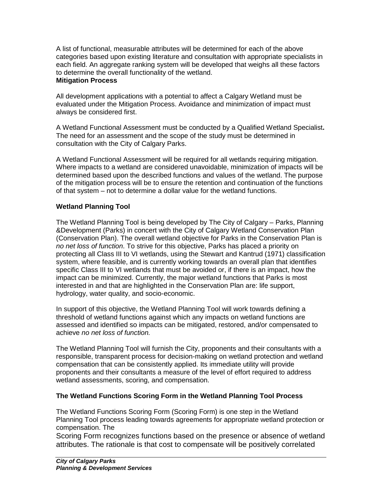A list of functional, measurable attributes will be determined for each of the above categories based upon existing literature and consultation with appropriate specialists in each field. An aggregate ranking system will be developed that weighs all these factors to determine the overall functionality of the wetland.

### **Mitigation Process**

All development applications with a potential to affect a Calgary Wetland must be evaluated under the Mitigation Process. Avoidance and minimization of impact must always be considered first.

A Wetland Functional Assessment must be conducted by a Qualified Wetland Specialist**.**  The need for an assessment and the scope of the study must be determined in consultation with the City of Calgary Parks.

A Wetland Functional Assessment will be required for all wetlands requiring mitigation. Where impacts to a wetland are considered unavoidable, minimization of impacts will be determined based upon the described functions and values of the wetland. The purpose of the mitigation process will be to ensure the retention and continuation of the functions of that system – not to determine a dollar value for the wetland functions.

### **Wetland Planning Tool**

The Wetland Planning Tool is being developed by The City of Calgary – Parks, Planning &Development (Parks) in concert with the City of Calgary Wetland Conservation Plan (Conservation Plan). The overall wetland objective for Parks in the Conservation Plan is *no net loss of function*. To strive for this objective, Parks has placed a priority on protecting all Class III to VI wetlands, using the Stewart and Kantrud (1971) classification system, where feasible, and is currently working towards an overall plan that identifies specific Class III to VI wetlands that must be avoided or, if there is an impact, how the impact can be minimized. Currently, the major wetland functions that Parks is most interested in and that are highlighted in the Conservation Plan are: life support, hydrology, water quality, and socio-economic.

In support of this objective, the Wetland Planning Tool will work towards defining a threshold of wetland functions against which any impacts on wetland functions are assessed and identified so impacts can be mitigated, restored, and/or compensated to achieve *no net loss of function.*

The Wetland Planning Tool will furnish the City, proponents and their consultants with a responsible, transparent process for decision-making on wetland protection and wetland compensation that can be consistently applied. Its immediate utility will provide proponents and their consultants a measure of the level of effort required to address wetland assessments, scoring, and compensation.

### **The Wetland Functions Scoring Form in the Wetland Planning Tool Process**

The Wetland Functions Scoring Form (Scoring Form) is one step in the Wetland Planning Tool process leading towards agreements for appropriate wetland protection or compensation. The

Scoring Form recognizes functions based on the presence or absence of wetland attributes. The rationale is that cost to compensate will be positively correlated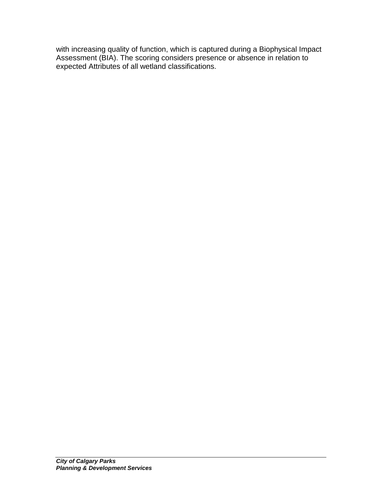with increasing quality of function, which is captured during a Biophysical Impact Assessment (BIA). The scoring considers presence or absence in relation to expected Attributes of all wetland classifications.